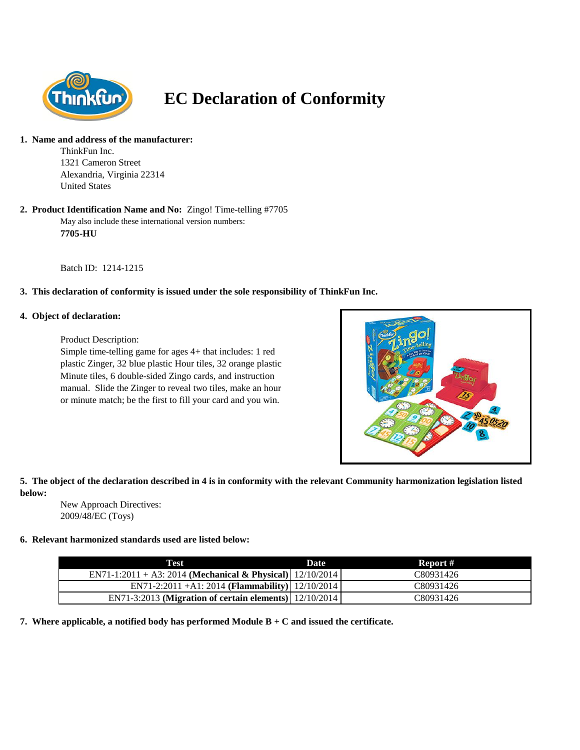

# **EC Declaration of Conformity**

#### **1. Name and address of the manufacturer:**

ThinkFun Inc. 1321 Cameron Street Alexandria, Virginia 22314 United States

#### May also include these international version numbers: **7705-HU 2. Product Identification Name and No:** Zingo! Time-telling #7705

Batch ID: 1214-1215

# **3. This declaration of conformity is issued under the sole responsibility of ThinkFun Inc.**

### **4. Object of declaration:**

Product Description:

Simple time-telling game for ages 4+ that includes: 1 red plastic Zinger, 32 blue plastic Hour tiles, 32 orange plastic Minute tiles, 6 double-sided Zingo cards, and instruction manual. Slide the Zinger to reveal two tiles, make an hour or minute match; be the first to fill your card and you win.



# **5. The object of the declaration described in 4 is in conformity with the relevant Community harmonization legislation listed below:**

New Approach Directives: 2009/48/EC (Toys)

# **6. Relevant harmonized standards used are listed below:**

| Test                                                            | Date | Report #  |
|-----------------------------------------------------------------|------|-----------|
| EN71-1:2011 + A3: 2014 (Mechanical & Physical) $  12/10/2014  $ |      | C80931426 |
| EN71-2:2011 +A1: 2014 (Flammability)   12/10/2014               |      | C80931426 |
| EN71-3:2013 (Migration of certain elements)   12/10/2014        |      | C80931426 |

**7. Where applicable, a notified body has performed Module B + C and issued the certificate.**